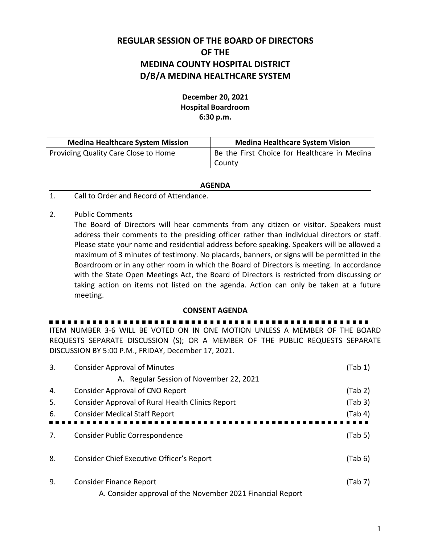## **REGULAR SESSION OF THE BOARD OF DIRECTORS OF THE MEDINA COUNTY HOSPITAL DISTRICT D/B/A MEDINA HEALTHCARE SYSTEM**

## **December 20, 2021 Hospital Boardroom 6:30 p.m.**

| <b>Medina Healthcare System Mission</b> | <b>Medina Healthcare System Vision</b>       |  |
|-----------------------------------------|----------------------------------------------|--|
| Providing Quality Care Close to Home    | Be the First Choice for Healthcare in Medina |  |
|                                         | County                                       |  |

## **AGENDA**

- 1. Call to Order and Record of Attendance.
- 2. Public Comments

The Board of Directors will hear comments from any citizen or visitor. Speakers must address their comments to the presiding officer rather than individual directors or staff. Please state your name and residential address before speaking. Speakers will be allowed a maximum of 3 minutes of testimony. No placards, banners, or signs will be permitted in the Boardroom or in any other room in which the Board of Directors is meeting. In accordance with the State Open Meetings Act, the Board of Directors is restricted from discussing or taking action on items not listed on the agenda. Action can only be taken at a future meeting.

## **CONSENT AGENDA**

. . . . . . . . . . . . . . . . .

ITEM NUMBER 3-6 WILL BE VOTED ON IN ONE MOTION UNLESS A MEMBER OF THE BOARD REQUESTS SEPARATE DISCUSSION (S); OR A MEMBER OF THE PUBLIC REQUESTS SEPARATE DISCUSSION BY 5:00 P.M., FRIDAY, December 17, 2021.

| 3. | <b>Consider Approval of Minutes</b>                        | (Tab 1) |
|----|------------------------------------------------------------|---------|
|    | A. Regular Session of November 22, 2021                    |         |
| 4. | <b>Consider Approval of CNO Report</b>                     | (Tab 2) |
| 5. | Consider Approval of Rural Health Clinics Report           | (Tab 3) |
| 6. | <b>Consider Medical Staff Report</b>                       | (Tab 4) |
|    |                                                            |         |
| 7. | Consider Public Correspondence                             | (Tab 5) |
|    |                                                            |         |
| 8. | Consider Chief Executive Officer's Report                  | (Tab 6) |
| 9. | <b>Consider Finance Report</b>                             | (Tab 7) |
|    | A. Consider approval of the November 2021 Financial Report |         |